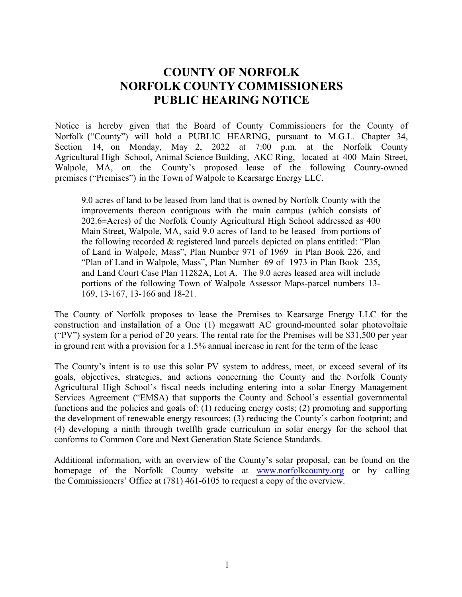## **COUNTY OF NORFOLK NORFOLK COUNTY COMMISSIONERS PUBLIC HEARING NOTICE**

Notice is hereby given that the Board of County Commissioners for the County of Norfolk ("County") will hold a PUBLIC HEARING, pursuant to M.G.L. Chapter 34, Section 14, on Monday, May 2, 2022 at 7:00 p.m. at the Norfolk County Agricultural High School, Animal Science Building, AKC Ring, located at 400 Main Street, Walpole, MA, on the County's proposed lease of the following County-owned premises ("Premises") in the Town of Walpole to Kearsarge Energy LLC.

9.0 acres of land to be leased from land that is owned by Norfolk County with the improvements thereon contiguous with the main campus (which consists of 202.6±Acres) of the Norfolk County Agricultural High School addressed as 400 Main Street, Walpole, MA, said 9.0 acres of land to be leased from portions of the following recorded & registered land parcels depicted on plans entitled: "Plan of Land in Walpole, Mass", Plan Number 971 of 1969 in Plan Book 226, and "Plan of Land in Walpole, Mass", Plan Number 69 of 1973 in Plan Book 235, and Land Court Case Plan 11282A, Lot A. The 9.0 acres leased area will include portions of the following Town of Walpole Assessor Maps-parcel numbers 13- 169, 13-167, 13-166 and 18-21.

The County of Norfolk proposes to lease the Premises to Kearsarge Energy LLC for the construction and installation of a One (1) megawatt AC ground-mounted solar photovoltaic ("PV") system for a period of 20 years. The rental rate for the Premises will be \$31,500 per year in ground rent with a provision for a 1.5% annual increase in rent for the term of the lease

The County's intent is to use this solar PV system to address, meet, or exceed several of its goals, objectives, strategies, and actions concerning the County and the Norfolk County Agricultural High School's fiscal needs including entering into a solar Energy Management Services Agreement ("EMSA) that supports the County and School's essential governmental functions and the policies and goals of: (1) reducing energy costs; (2) promoting and supporting the development of renewable energy resources; (3) reducing the County's carbon footprint; and (4) developing a ninth through twelfth grade curriculum in solar energy for the school that conforms to Common Core and Next Generation State Science Standards.

Additional information, with an overview of the County's solar proposal, can be found on the homepage of the Norfolk County website at www.norfolkcounty.org or by calling the Commissioners' Office at (781) 461-6105 to request a copy of the overview.